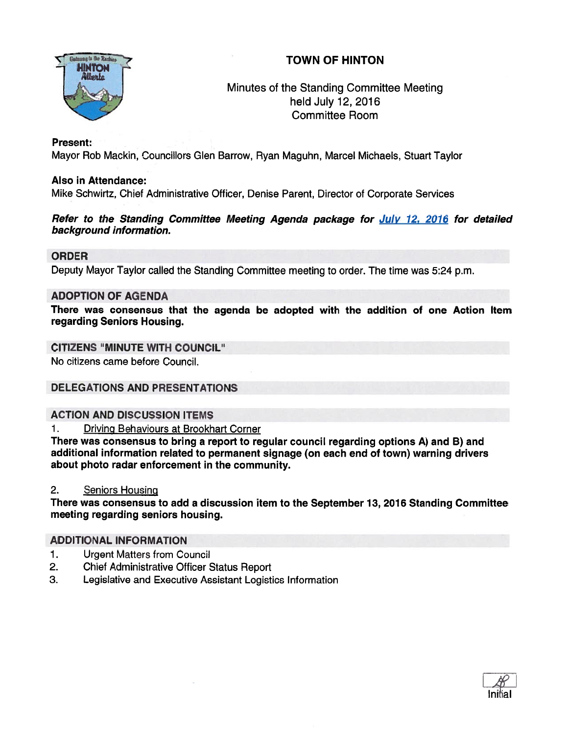

# Minutes of the Standing Committee Meeting held July 12, 2016 Committee Room

#### Present:

Mayor Rob Mackin. Councillors Glen Barrow, Ryan Maguhn, Marcel Michaels, Stuart Taylor

## Also in Attendance:

Mike Schwirtz, Chief Administrative Officer, Denise Parent, Director of Corporate Services

#### Refer to the Standing Committee Meeting Agenda package for July 12, 2016 for detailed background information.

# ORDER

Deputy Mayor Taylor called the Standing Committee meeting to order. The time was 5:24 p.m.

## ADOPTION OF AGENDA

There was consensus that the agenda be adopted with the addition of one Action Item regarding Seniors Housing.

## CITIZENS "MINUTE WITH COUNCIL"

No citizens came before Council.

# DELEGATIONS AND PRESENTATIONS

# ACTION AND DISCUSSION ITEMS

1. Driving Behaviours at Brookhart Corner

There was consensus to bring <sup>a</sup> repor<sup>t</sup> to regular council regarding options A) and B) and additional information related to permanen<sup>t</sup> signage (on each end of town) warning drivers about photo radar enforcement in the community.

#### 2. Seniors Housing

There was consensus to add <sup>a</sup> discussion item to the September 13, 2016 Standing Committee meeting regarding seniors housing.

#### ADDITIONAL INFORMATION

- 1. Urgent Matters from Council
- 2. Chief Administrative Officer Status Report
- 3. Legislative and Executive Assistant Logistics Information